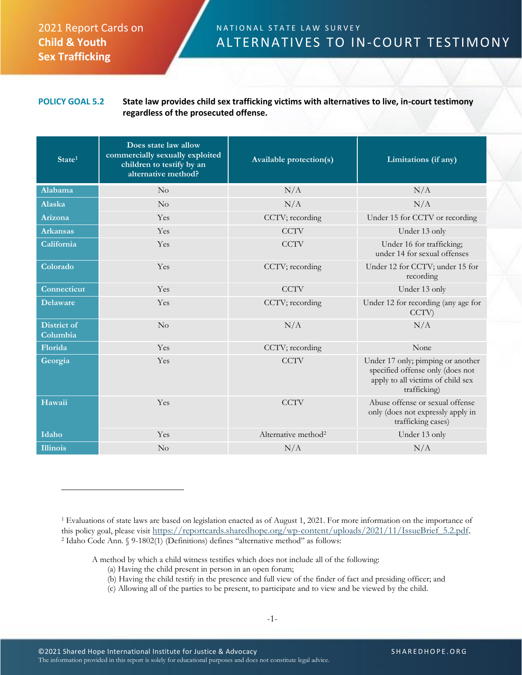## 2021 Report Cards on **Child & Youth Sex Trafficking**

## N A T I O N A L S T A T E L A W S U R V E Y ALTERNATIVES TO IN-COURT TESTIMONY

**POLICY GOAL 5.2 State law provides child sex trafficking victims with alternatives to live, in-court testimony regardless of the prosecuted offense.**

| State <sup>1</sup>      | Does state law allow<br>commercially sexually exploited<br>children to testify by an<br>alternative method? | <b>Available protection(s)</b>  | Limitations (if any)                                                                                                       |
|-------------------------|-------------------------------------------------------------------------------------------------------------|---------------------------------|----------------------------------------------------------------------------------------------------------------------------|
| Alabama                 | $\overline{N}_{O}$                                                                                          | N/A                             | N/A                                                                                                                        |
| Alaska                  | No                                                                                                          | N/A                             | N/A                                                                                                                        |
| Arizona                 | Yes                                                                                                         | CCTV; recording                 | Under 15 for CCTV or recording                                                                                             |
| <b>Arkansas</b>         | Yes                                                                                                         | <b>CCTV</b>                     | Under 13 only                                                                                                              |
| California              | Yes                                                                                                         | <b>CCTV</b>                     | Under 16 for trafficking;<br>under 14 for sexual offenses                                                                  |
| Colorado                | Yes                                                                                                         | CCTV; recording                 | Under 12 for CCTV; under 15 for<br>recording                                                                               |
| Connecticut             | Yes                                                                                                         | <b>CCTV</b>                     | Under 13 only                                                                                                              |
| <b>Delaware</b>         | Yes                                                                                                         | CCTV; recording                 | Under 12 for recording (any age for<br>CCTV)                                                                               |
| District of<br>Columbia | No                                                                                                          | N/A                             | N/A                                                                                                                        |
| Florida                 | Yes                                                                                                         | CCTV; recording                 | None                                                                                                                       |
| Georgia                 | Yes                                                                                                         | <b>CCTV</b>                     | Under 17 only; pimping or another<br>specified offense only (does not<br>apply to all victims of child sex<br>trafficking) |
| Hawaii                  | Yes                                                                                                         | <b>CCTV</b>                     | Abuse offense or sexual offense<br>only (does not expressly apply in<br>trafficking cases)                                 |
| Idaho                   | Yes                                                                                                         | Alternative method <sup>2</sup> | Under 13 only                                                                                                              |
| <b>Illinois</b>         | No                                                                                                          | N/A                             | N/A                                                                                                                        |

- (b) Having the child testify in the presence and full view of the finder of fact and presiding officer; and
- (c) Allowing all of the parties to be present, to participate and to view and be viewed by the child.

<sup>1</sup> Evaluations of state laws are based on legislation enacted as of August 1, 2021. For more information on the importance of this policy goal, please visit [https://reportcards.sharedhope.org/wp-content/uploads/2021/11/IssueBrief\\_5.2.pdf.](https://reportcards.sharedhope.org/wp-content/uploads/2021/11/IssueBrief_5.2.pdf) <sup>2</sup> Idaho Code Ann. § 9-1802(1) (Definitions) defines "alternative method" as follows:

A method by which a child witness testifies which does not include all of the following:

<sup>(</sup>a) Having the child present in person in an open forum;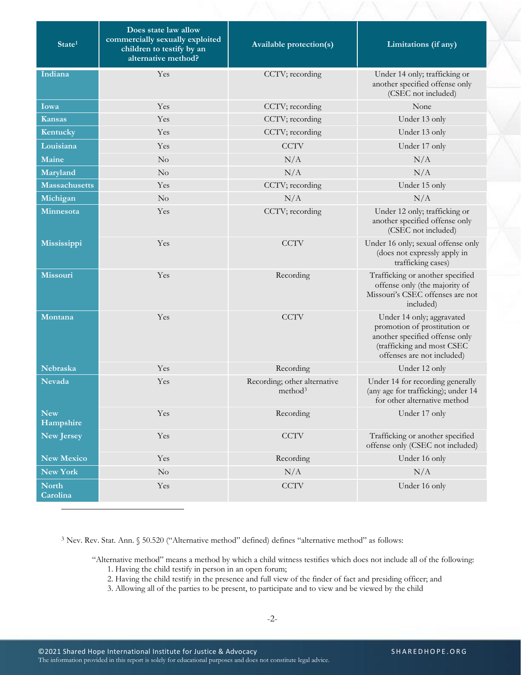| $\overline{\text{State}^1}$ | Does state law allow<br>commercially sexually exploited<br>children to testify by an<br>alternative method? | <b>Available protection(s)</b>                      | Limitations (if any)                                                                                                                                    |
|-----------------------------|-------------------------------------------------------------------------------------------------------------|-----------------------------------------------------|---------------------------------------------------------------------------------------------------------------------------------------------------------|
| Indiana                     | Yes                                                                                                         | CCTV; recording                                     | Under 14 only; trafficking or<br>another specified offense only<br>(CSEC not included)                                                                  |
| Iowa                        | Yes                                                                                                         | CCTV; recording                                     | None                                                                                                                                                    |
| <b>Kansas</b>               | Yes                                                                                                         | CCTV; recording                                     | Under 13 only                                                                                                                                           |
| Kentucky                    | Yes                                                                                                         | CCTV; recording                                     | Under 13 only                                                                                                                                           |
| Louisiana                   | Yes                                                                                                         | <b>CCTV</b>                                         | Under 17 only                                                                                                                                           |
| Maine                       | No                                                                                                          | N/A                                                 | N/A                                                                                                                                                     |
| Maryland                    | $\rm No$                                                                                                    | N/A                                                 | N/A                                                                                                                                                     |
| <b>Massachusetts</b>        | Yes                                                                                                         | CCTV; recording                                     | Under 15 only                                                                                                                                           |
| Michigan                    | No                                                                                                          | N/A                                                 | N/A                                                                                                                                                     |
| Minnesota                   | Yes                                                                                                         | CCTV; recording                                     | Under 12 only; trafficking or<br>another specified offense only<br>(CSEC not included)                                                                  |
| Mississippi                 | Yes                                                                                                         | <b>CCTV</b>                                         | Under 16 only; sexual offense only<br>(does not expressly apply in<br>trafficking cases)                                                                |
| <b>Missouri</b>             | Yes                                                                                                         | Recording                                           | Trafficking or another specified<br>offense only (the majority of<br>Missouri's CSEC offenses are not<br>included)                                      |
| Montana                     | Yes                                                                                                         | <b>CCTV</b>                                         | Under 14 only; aggravated<br>promotion of prostitution or<br>another specified offense only<br>(trafficking and most CSEC<br>offenses are not included) |
| Nebraska                    | Yes                                                                                                         | Recording                                           | Under 12 only                                                                                                                                           |
| <b>Nevada</b>               | Yes                                                                                                         | Recording; other alternative<br>method <sup>3</sup> | Under 14 for recording generally<br>(any age for trafficking); under 14<br>for other alternative method                                                 |
| New<br>Hampshire            | Yes                                                                                                         | Recording                                           | Under 17 only                                                                                                                                           |
| <b>New Jersey</b>           | Yes                                                                                                         | <b>CCTV</b>                                         | Trafficking or another specified<br>offense only (CSEC not included)                                                                                    |
| <b>New Mexico</b>           | Yes                                                                                                         | Recording                                           | Under 16 only                                                                                                                                           |
| New York                    | $\rm No$                                                                                                    | N/A                                                 | N/A                                                                                                                                                     |
| <b>North</b><br>Carolina    | Yes                                                                                                         | <b>CCTV</b>                                         | Under 16 only                                                                                                                                           |

<sup>3</sup> Nev. Rev. Stat. Ann. § 50.520 ("Alternative method" defined) defines "alternative method" as follows:

"Alternative method" means a method by which a child witness testifies which does not include all of the following:

- 1. Having the child testify in person in an open forum;
- 2. Having the child testify in the presence and full view of the finder of fact and presiding officer; and
- 3. Allowing all of the parties to be present, to participate and to view and be viewed by the child